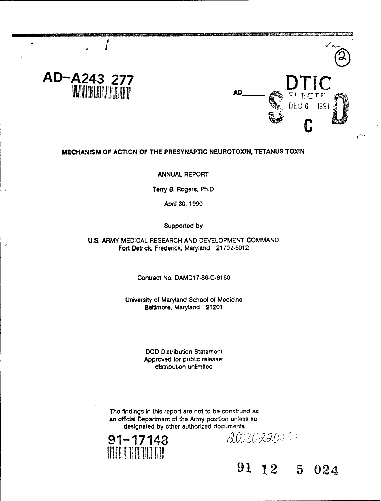



# **MECHANISM** OF **ACTION** OF THE PRESYNAPTIC **NEUROTOXIN, TETANUS TOXIN**

## ANNUAL REPORT

Terry B. Rogers, Ph.D

April 30, 1990

## Supported by

## U.S. ARMY MEDICAL RESEARCH AND DEVELOPMENT COMMAND Fort Detrick, Frederick, Maryland 21702-5012

Contract No. DAMD17-86-C-6160

University of Maryland School of Medicine Baltimore, Maryland 21201

> DOD Distribution Statement Approved for public release; distribution unlimited

The findings in this report are not to be construed as an official Department of the Army position unless so designated by other authorized documents



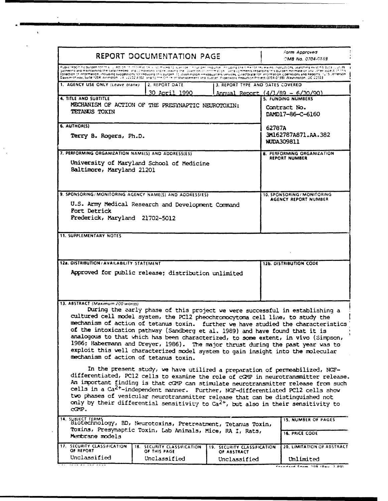| Public readmind burden for this (U. etc.on.) t. mormation, science to suering encourage in respective coupling the time for revewing assitutions, searching exist no ducal, Juruss,<br>gathering and maintaining the data needed, and completing and recomplement pre-circination of innocent recomments redarding this durable stimate or any uther aspect of this<br>collection of information, including suggestions for reducing this purper, to Washington Headquarters services, Directorate for information Operations and Reports, 1215 Lefterson,<br>Davis High way, Suite 1204, Arrington, J.A. 2222-4302, and to the Other of Management and Budget, Phoenvork Reduction Project (0704-0188). Mashington, DC 20503<br>1. AGENCY USE ONLY (Leave olank)<br>2. REPORT DATE<br>3. REPORT TYPE AND DATES COVERED<br>30 April 1990<br><u> Annual Report (4/1/89 - 6/30/90)</u><br>4. TITLE AND SUBTITLE<br><b>5. FUNDING NUMBERS</b><br>MECHANISM OF ACTION OF THE PRESYNAPTIC NEUROTOXIN:<br>Contract No.<br>TETANUS TOXIN<br>DAMD17-86-C-6160<br>6. AUTHOR(S)<br>62787A<br>3M162787A871.AA.382<br>Terry B. Rogers, Ph.D.<br>WUDA309811<br>7. PERFORMING ORGANIZATION NAME(S) AND ADDRESS(ES)<br>8. PERFORMING ORGANIZATION<br>REPORT NUMBER<br>University of Maryland School of Medicine<br>Baltimore, Maryland 21201<br>9. SPONSORING/MONITORING AGENCY NAME(S) AND ADDRESS(ES)<br>10. SPONSORING / MONITORING<br>AGENCY REPORT NUMBER<br>U.S. Army Medical Research and Development Command<br>Fort Detrick<br>Frederick, Maryland 21702-5012<br><b>11. SUPPLEMENTARY NOTES</b><br>12a. DISTRIBUTION/AVAILABILITY STATEMENT<br>12b. DISTRIBUTION CODE<br>Approved for public release; distribution unlimited<br>13. ABSTRACT (Maximum 200 words)<br>During the early phase of this project we were successful in establishing a<br>cultured cell model system, the PC12 pheochromocytoma cell line, to study the<br>mechanism of action of tetanus toxin. further we have studied the characteristics<br>of the intoxication pathway (Sandberg et al. 1989) and have found that it is<br>analogous to that which has been characterized, to some extent, in vivo (Simpson,<br>1986; Habermann and Dreyer, 1986). The major thrust during the past year was to<br>exploit this well characterized model system to gain insight into the molecular<br>mechanism of action of tetanus toxin.<br>In the present study, we have utilized a preparation of permeabilized, NGF-<br>differentiated, PC12 cells to examine the role of cGMP in neurotransmitter release.<br>An important finding is that cOMP can stimulate neurotransmitter release from such<br>cells in a Ca <sup>2+</sup> -independent manner. Further, NGF-differentiated PCl2 cells show<br>two phases of vesicular neurotransmitter release that can be distinguished not<br>only by their differential sensitivity to $Ca^{2+}$ , but also in their sensitivity to<br>CAMP.<br>14. SUBJECT TERMS (BD, Neurotoxins, Pretreatment, Tetanus Toxin,<br><b>15. NUMBER OF PAGES</b><br>Toxins, Presynaptic Toxin, Lab Animals, Mice, RA I, Rats,<br><b>16. PRICE CODE</b><br>Membrane models | REPORT DOCUMENTATION PAGE   |  |  |  | Form Approved<br>CMB No. 0704-0183 |
|-----------------------------------------------------------------------------------------------------------------------------------------------------------------------------------------------------------------------------------------------------------------------------------------------------------------------------------------------------------------------------------------------------------------------------------------------------------------------------------------------------------------------------------------------------------------------------------------------------------------------------------------------------------------------------------------------------------------------------------------------------------------------------------------------------------------------------------------------------------------------------------------------------------------------------------------------------------------------------------------------------------------------------------------------------------------------------------------------------------------------------------------------------------------------------------------------------------------------------------------------------------------------------------------------------------------------------------------------------------------------------------------------------------------------------------------------------------------------------------------------------------------------------------------------------------------------------------------------------------------------------------------------------------------------------------------------------------------------------------------------------------------------------------------------------------------------------------------------------------------------------------------------------------------------------------------------------------------------------------------------------------------------------------------------------------------------------------------------------------------------------------------------------------------------------------------------------------------------------------------------------------------------------------------------------------------------------------------------------------------------------------------------------------------------------------------------------------------------------------------------------------------------------------------------------------------------------------------------------------------------------------------------------------------------------------------------------------------------------------------------------------------------------------------------------------------------------------------------------------------------------------------------------------------------------------------------------------------------------------------------------------------------------------------------------------------------------------------------------------------------------------------------------------------|-----------------------------|--|--|--|------------------------------------|
|                                                                                                                                                                                                                                                                                                                                                                                                                                                                                                                                                                                                                                                                                                                                                                                                                                                                                                                                                                                                                                                                                                                                                                                                                                                                                                                                                                                                                                                                                                                                                                                                                                                                                                                                                                                                                                                                                                                                                                                                                                                                                                                                                                                                                                                                                                                                                                                                                                                                                                                                                                                                                                                                                                                                                                                                                                                                                                                                                                                                                                                                                                                                                                 |                             |  |  |  |                                    |
|                                                                                                                                                                                                                                                                                                                                                                                                                                                                                                                                                                                                                                                                                                                                                                                                                                                                                                                                                                                                                                                                                                                                                                                                                                                                                                                                                                                                                                                                                                                                                                                                                                                                                                                                                                                                                                                                                                                                                                                                                                                                                                                                                                                                                                                                                                                                                                                                                                                                                                                                                                                                                                                                                                                                                                                                                                                                                                                                                                                                                                                                                                                                                                 |                             |  |  |  |                                    |
|                                                                                                                                                                                                                                                                                                                                                                                                                                                                                                                                                                                                                                                                                                                                                                                                                                                                                                                                                                                                                                                                                                                                                                                                                                                                                                                                                                                                                                                                                                                                                                                                                                                                                                                                                                                                                                                                                                                                                                                                                                                                                                                                                                                                                                                                                                                                                                                                                                                                                                                                                                                                                                                                                                                                                                                                                                                                                                                                                                                                                                                                                                                                                                 |                             |  |  |  |                                    |
|                                                                                                                                                                                                                                                                                                                                                                                                                                                                                                                                                                                                                                                                                                                                                                                                                                                                                                                                                                                                                                                                                                                                                                                                                                                                                                                                                                                                                                                                                                                                                                                                                                                                                                                                                                                                                                                                                                                                                                                                                                                                                                                                                                                                                                                                                                                                                                                                                                                                                                                                                                                                                                                                                                                                                                                                                                                                                                                                                                                                                                                                                                                                                                 |                             |  |  |  |                                    |
|                                                                                                                                                                                                                                                                                                                                                                                                                                                                                                                                                                                                                                                                                                                                                                                                                                                                                                                                                                                                                                                                                                                                                                                                                                                                                                                                                                                                                                                                                                                                                                                                                                                                                                                                                                                                                                                                                                                                                                                                                                                                                                                                                                                                                                                                                                                                                                                                                                                                                                                                                                                                                                                                                                                                                                                                                                                                                                                                                                                                                                                                                                                                                                 |                             |  |  |  |                                    |
|                                                                                                                                                                                                                                                                                                                                                                                                                                                                                                                                                                                                                                                                                                                                                                                                                                                                                                                                                                                                                                                                                                                                                                                                                                                                                                                                                                                                                                                                                                                                                                                                                                                                                                                                                                                                                                                                                                                                                                                                                                                                                                                                                                                                                                                                                                                                                                                                                                                                                                                                                                                                                                                                                                                                                                                                                                                                                                                                                                                                                                                                                                                                                                 |                             |  |  |  |                                    |
|                                                                                                                                                                                                                                                                                                                                                                                                                                                                                                                                                                                                                                                                                                                                                                                                                                                                                                                                                                                                                                                                                                                                                                                                                                                                                                                                                                                                                                                                                                                                                                                                                                                                                                                                                                                                                                                                                                                                                                                                                                                                                                                                                                                                                                                                                                                                                                                                                                                                                                                                                                                                                                                                                                                                                                                                                                                                                                                                                                                                                                                                                                                                                                 |                             |  |  |  |                                    |
|                                                                                                                                                                                                                                                                                                                                                                                                                                                                                                                                                                                                                                                                                                                                                                                                                                                                                                                                                                                                                                                                                                                                                                                                                                                                                                                                                                                                                                                                                                                                                                                                                                                                                                                                                                                                                                                                                                                                                                                                                                                                                                                                                                                                                                                                                                                                                                                                                                                                                                                                                                                                                                                                                                                                                                                                                                                                                                                                                                                                                                                                                                                                                                 |                             |  |  |  |                                    |
|                                                                                                                                                                                                                                                                                                                                                                                                                                                                                                                                                                                                                                                                                                                                                                                                                                                                                                                                                                                                                                                                                                                                                                                                                                                                                                                                                                                                                                                                                                                                                                                                                                                                                                                                                                                                                                                                                                                                                                                                                                                                                                                                                                                                                                                                                                                                                                                                                                                                                                                                                                                                                                                                                                                                                                                                                                                                                                                                                                                                                                                                                                                                                                 |                             |  |  |  |                                    |
|                                                                                                                                                                                                                                                                                                                                                                                                                                                                                                                                                                                                                                                                                                                                                                                                                                                                                                                                                                                                                                                                                                                                                                                                                                                                                                                                                                                                                                                                                                                                                                                                                                                                                                                                                                                                                                                                                                                                                                                                                                                                                                                                                                                                                                                                                                                                                                                                                                                                                                                                                                                                                                                                                                                                                                                                                                                                                                                                                                                                                                                                                                                                                                 |                             |  |  |  |                                    |
|                                                                                                                                                                                                                                                                                                                                                                                                                                                                                                                                                                                                                                                                                                                                                                                                                                                                                                                                                                                                                                                                                                                                                                                                                                                                                                                                                                                                                                                                                                                                                                                                                                                                                                                                                                                                                                                                                                                                                                                                                                                                                                                                                                                                                                                                                                                                                                                                                                                                                                                                                                                                                                                                                                                                                                                                                                                                                                                                                                                                                                                                                                                                                                 |                             |  |  |  |                                    |
|                                                                                                                                                                                                                                                                                                                                                                                                                                                                                                                                                                                                                                                                                                                                                                                                                                                                                                                                                                                                                                                                                                                                                                                                                                                                                                                                                                                                                                                                                                                                                                                                                                                                                                                                                                                                                                                                                                                                                                                                                                                                                                                                                                                                                                                                                                                                                                                                                                                                                                                                                                                                                                                                                                                                                                                                                                                                                                                                                                                                                                                                                                                                                                 |                             |  |  |  |                                    |
|                                                                                                                                                                                                                                                                                                                                                                                                                                                                                                                                                                                                                                                                                                                                                                                                                                                                                                                                                                                                                                                                                                                                                                                                                                                                                                                                                                                                                                                                                                                                                                                                                                                                                                                                                                                                                                                                                                                                                                                                                                                                                                                                                                                                                                                                                                                                                                                                                                                                                                                                                                                                                                                                                                                                                                                                                                                                                                                                                                                                                                                                                                                                                                 |                             |  |  |  |                                    |
|                                                                                                                                                                                                                                                                                                                                                                                                                                                                                                                                                                                                                                                                                                                                                                                                                                                                                                                                                                                                                                                                                                                                                                                                                                                                                                                                                                                                                                                                                                                                                                                                                                                                                                                                                                                                                                                                                                                                                                                                                                                                                                                                                                                                                                                                                                                                                                                                                                                                                                                                                                                                                                                                                                                                                                                                                                                                                                                                                                                                                                                                                                                                                                 |                             |  |  |  |                                    |
|                                                                                                                                                                                                                                                                                                                                                                                                                                                                                                                                                                                                                                                                                                                                                                                                                                                                                                                                                                                                                                                                                                                                                                                                                                                                                                                                                                                                                                                                                                                                                                                                                                                                                                                                                                                                                                                                                                                                                                                                                                                                                                                                                                                                                                                                                                                                                                                                                                                                                                                                                                                                                                                                                                                                                                                                                                                                                                                                                                                                                                                                                                                                                                 |                             |  |  |  |                                    |
| 18. SECURITY CLASSIFICATION<br>19. SECURITY CLASSIFICATION<br>OF REPORT<br>OF THIS PAGE<br>OF ABSTRACT                                                                                                                                                                                                                                                                                                                                                                                                                                                                                                                                                                                                                                                                                                                                                                                                                                                                                                                                                                                                                                                                                                                                                                                                                                                                                                                                                                                                                                                                                                                                                                                                                                                                                                                                                                                                                                                                                                                                                                                                                                                                                                                                                                                                                                                                                                                                                                                                                                                                                                                                                                                                                                                                                                                                                                                                                                                                                                                                                                                                                                                          | 17. SECURITY CLASSIFICATION |  |  |  | 20. LIMITATION OF ABSTRACT         |
| Unclassified<br>Unclassified<br>Unclassified<br>Unlimited                                                                                                                                                                                                                                                                                                                                                                                                                                                                                                                                                                                                                                                                                                                                                                                                                                                                                                                                                                                                                                                                                                                                                                                                                                                                                                                                                                                                                                                                                                                                                                                                                                                                                                                                                                                                                                                                                                                                                                                                                                                                                                                                                                                                                                                                                                                                                                                                                                                                                                                                                                                                                                                                                                                                                                                                                                                                                                                                                                                                                                                                                                       |                             |  |  |  |                                    |

 $\hat{\mathbf{v}}$ 

 $\ddot{\phantom{a}}$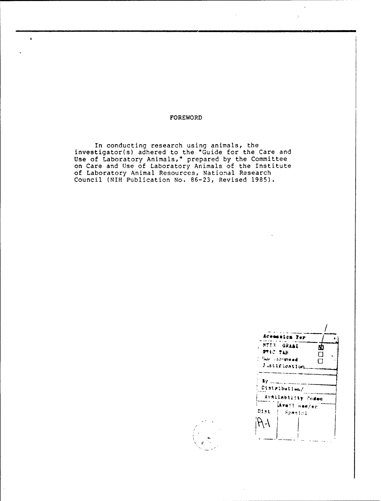### FOREWORD

 $\hat{\mathbf{r}}$ 

In conducting research using animals, the<br>investigator(s) adhered to the "Guide for the Care and<br>Use of Laboratory Animals," prepared by the Committee<br>on Care and Use of Laboratory Animals of the Institute of Laboratory Animal Resources, National Research Council (NIH Publication No. 86-23, Revised 1985).

| Aceassics Fer                                                                  |  |
|--------------------------------------------------------------------------------|--|
| NTI3 GRAAL<br>N<br><b>BAIC ITR</b><br><b>Than into the ad</b><br>Justification |  |
| 87 L.U<br>Distributiem/                                                        |  |
| Availability Codes                                                             |  |
| Mvmil smd/er<br>Dist<br>Special                                                |  |

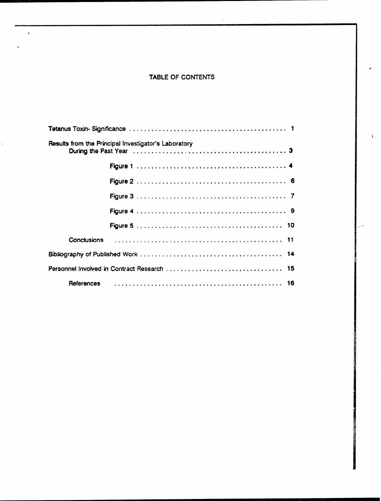# TABLE OF CONTENTS

 $\ddot{\phantom{a}}$ 

 $\overline{a}$ 

| Results from the Principal Investigator's Laboratory |  |  |  |  |
|------------------------------------------------------|--|--|--|--|
|                                                      |  |  |  |  |
|                                                      |  |  |  |  |
|                                                      |  |  |  |  |
|                                                      |  |  |  |  |
|                                                      |  |  |  |  |
| <b>Conclusions</b>                                   |  |  |  |  |
|                                                      |  |  |  |  |
|                                                      |  |  |  |  |
| References                                           |  |  |  |  |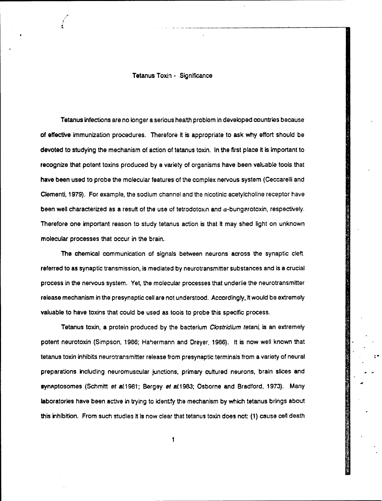Tetanus Toxin - Significance

Tetanus infections are no longer a serious health problem in developed countries because of effective immunization procedures. Therefore it is appropriate to ask why effort should be devoted to studying the mechanism of action of tetanus toxin. In the first place it is important to recognize that potent toxins produced by a variety of organisms have been valuable tools that have been used to probe the molecular features of the complex nervous system (Ceccarelli and Clementi, 1979). For example, the sodium channel and the nicotinic acetylcholine receptor have been well characterized as a result of the use of tetrodotoxin and  $\alpha$ -bungerotoxin, respectively. Therefore one important reason to study tetanus action is that It may shed light on unknown molecular processes that occur in the brain.

The chemical communication of signals between neurons across the synaptic cleft. referred to as synaptic transmission, is mediated by neurotransmitter substances and is a crucial process in the nervous system. Yet, the molecular processes that underlie the neurotransmitter release mechanism in the presynaptic cell are not understood. Accordingly, it would be extremely valuable to have toxins that could be used as tools to probe this specific process.

Tetanus toxin, a protein produced by the bacterium *Clostridium tetani*, is an extremely potent neurotoxin (Simpson, 1986; Habermann and Dreyer, 1986). It is now well known that tetanus toxin inhibits neurotransmitter release from presynaptic terminals from a variety of neural preparations including neuromuscular junctions, primary cultured neurons, brain slices and synaptosomes (Schmitt *et al.*1981; Bergey et al.1983; Osborne and Bradford, 1973). Many laboratories have been active in trying to identify the mechanism by which tetanus brings about this inhibition. From such studies it is now clear that tetanus toxin does not: (1) cause cell death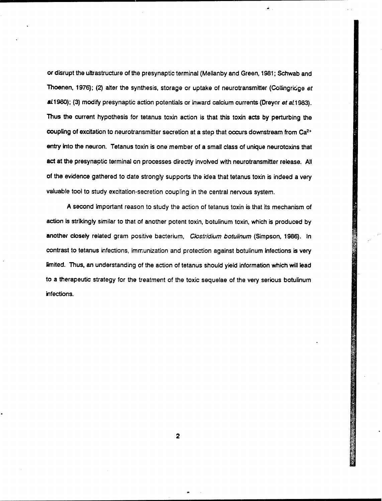or disrupt the ultrastructure of the presynaptic terminal (Mellanby and Green, 1981; Schwab and Thoenen, 1976); (2) alter the synthesis, storage or uptake of neurotransmitter (Collingridge et aL1980); (3) modify presynaptic action potentials or inward calcium currents (Dreyor et *aL* 1983). Thus the current hypothesis for tetanus toxin action is that this toxin acts by perturbing the coupling of excitation to neurotransmitter secretion at a step that occurs downstream from  $Ca<sup>2+</sup>$ entry into the neuron. Tetanus toxin is one member of a small class of unique neurotoxins that act at the presynaptic terminal on processes directly involved with neurotransmitter release. All of the evidence gathered to date strongly supports the idea that tetanus toxin is indeed a very valuable tool to study excitation-secretion coupling in the central nervous system.

A second Important reason to study the action of tetanus toxin is that its mechanism of action is strikingly similar to that of another potent toxin, botulinum toxin, which is produced by another ciosely related gram positive bacterium, *Clostridium botulinum* (Simpson, 1986). In contrast to tetanus infections, immunization and protection against botulinum Infections is very limited. Thus, an understanding of the action of tetanus should yield information which will lead to a therapeutic strategy for the treatment of the toxic sequelae of the very serious botulinum infections.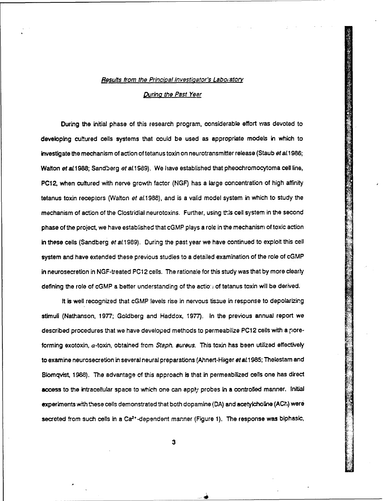#### *Results from the Principal Investigator's Labo, atory*

## Durinq *the Past Year*

During the initial phase of this research program, considerable effort was devoted to developing cultured cells systems that could be used as appropriate models in which to investigate the mechanism of action of tetanus toxin on neurotransmitter release (Staub *et* al 1986; Walton et al. 1988; Sandberg et al. 1989). We have established that pheochromocytoma cell line, PC12, when cultured with nerve growth factor (NGF) has a large concentration of high affinity tetanus toxin receptors (Walton *et* a11988), and is a valid model system in which to study the mechanism of action of the Clostridial neurotoxins. Further, using this cell system in the second phase of the project, we have established that cGMP plays a role in the mechanism of toxic action in these cells (Sandberg *et al.* 1989). During the past year we have continued to exploit this cell system and have extended these previous studies to a detailed examination of the role of cGMP in neurosecretion in NGF-treated PC12 cells. The rationale for this study was that by more clearly defining the role of cGMP a better understanding of the action of tetanus toxin will be derived.

It is well recognized that cGMP levels rise in nervous tissue in response to depolarizing stimuli (Nathanson, 1977; Goldberg and Haddox, 1977). In the previous annual report we described procedures that we have developed methods to permeabilize PC12 cells with a poreforming exotoxin, a-toxin, obtained from *Staph. aureus.* This toxin has been utilized effectively to examine neurosecretion in several neural preparations (Ahnert-Hiiger et al.1985; Thelestam and Blomqvist, 1988). The advantage of this approach Is that in permeabilized cells one has direct access to the intracellular space to which one can apply probes in a controlled manner. Initial experiments with these cells demonstrated that both dopamine (DA) and acetyicholine (AC $t$ ) were secreted from such cells in a Ca<sup>2+</sup>-dependent manner (Figure 1). The response was biphasic,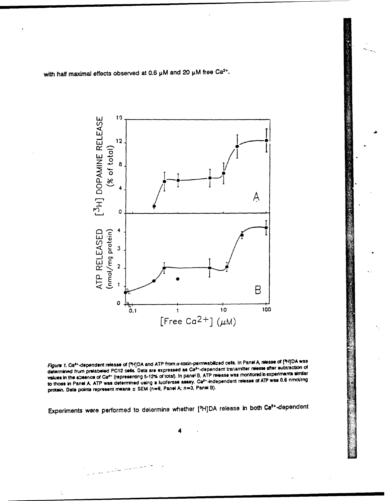with half maximal effects observed at 0.6 µM and 20 µM free Ca<sup>2+</sup>.



Figure 1. Ca<sup>s+</sup>-dependent release of [<sup>5</sup>H]DA and ATP from a-toxin-permeabilized cess. In Panel A, release of [<sup>5</sup>H]DA was determined from prelabeled PC12 cells. Data are expressed as Ca<sup>2+</sup>-dependent transmitter release after subtraction of values in the absence of Ca<sup>2+</sup> (representing 5-12% of total). In panel B, ATP release was monitored in experiments similar to those in Panel A. ATP was determined using a luciferase assay. Caf\*-independent release of ATP was 0.6 nmol/mg protein. Data points represent means ± SEM (n=9, Panel A; n=3, Panel B).

Experiments were performed to determine whether [<sup>3</sup>H]DA release in both Ca<sup>2+</sup>-dependent

كالمحاملة للمتعاطف المستساب المسار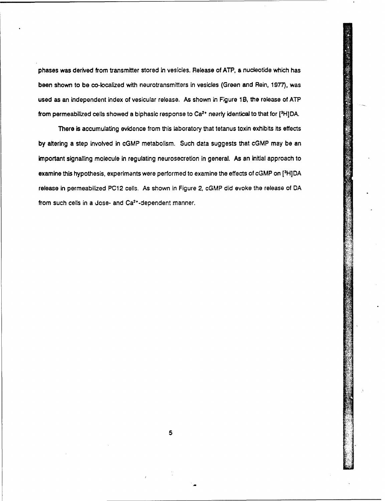phases was derived from transmitter stored in vesicles. Release of ATP, **a** nucleotide which has been shown to be co-localized with neurotransmitters in vesicles (Green and Rein, 1977), was used as an independent index of vesicular release. As shown in Figure 1B, the release of ATP from permeabilized cells showed a biphasic response to Ca $^{2+}$  nearly identical to that for  $[^3H]$ DA

There is accumulating evidence from this laboratory that tetanus toxin exhibits its effects by altering a step involved in cGMP metabolism. Such data suggests that cGMP may be an important signalling molecule in regulating neurosecretion in general. As an initial approach to examine this hypothesis, experiments were performed to examine the effects of cGMP on [3H]DA release in permeabilized PC12 cells. As shown in Figure 2, cGMP did evoke the release of DA from such cells in a dose- and Ca<sup>2+</sup>-dependent manner.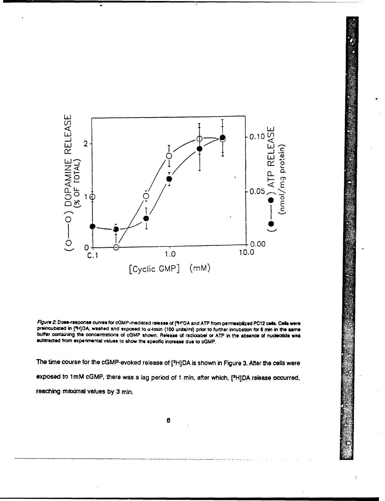

Figure 2. Dose-response curves for cGMP-mediated release of ["H"DA and ATP from permeablized PC12 cells. Cells were preincubated in [HI]DA, washed and exposed to a-toxin (100 units/m) prior to further incubation for 6 min in the same buffer containing the concentrations of cGMP shown. Release of radiolabel or ATP in the absence of nucleotide was subtracted from experimental values to show the specific increase due to cGMP.

The time course for the cGMP-evoked release of [<sup>3</sup>H]DA is shown in Figure 3. After the cells were exposed to 1mM cGMP, there was a lag period of 1 min, after which, [<sup>3</sup>H]DA release occurred, reaching maximal values by 3 min.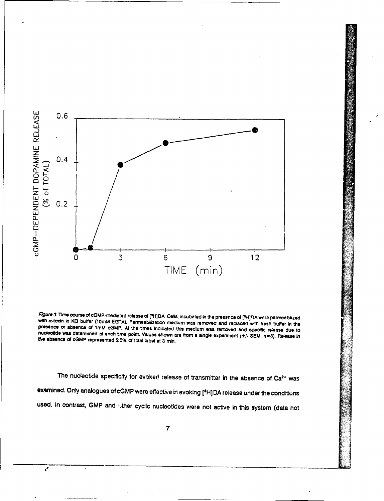

Figure 3. Time course of cGMP-mediated release of [<sup>5</sup>H]DA. Cells, incubated in the presence of [<sup>5</sup>H]DA were permeabilized with a-toxin in KG buffer (10mM EGTA). Permeabilization medium was removed and replaced with fresh buffer in the presence or absence of 1mM cGMP. At the times indicated this medium was removed and specific release due to nucleotide was determined at each time point. Values shown are from a single experiment (+/- SEM; n=3). Release in the absence of cGMP represented 2.3% of total label at 3 min.

The nucleotide specificity for evoked release of transmitter in the absence of Ca<sup>2+</sup> was examined. Only analogues of cGMP were effective in evoking [<sup>3</sup>H]DA release under the conditions used. In contrast, GMP and other cyclic nucleotides were not active in this system (data not

 $\overline{7}$ 

 $\mathbf{r}$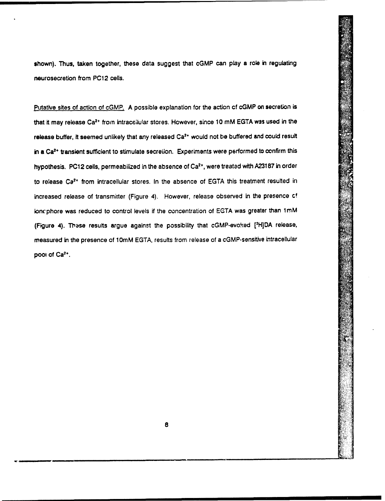shown). Thus, taken together, these data suggest that cGMP can play a role in regulating neurosecretlon from PC12 cells.

Putative sites of action of cGMP. A possible explanation for the action of cGMP on secretion is that it may release Ca<sup>2+</sup> from intraceilular stores. However, since 10 mM EGTA was used in the release buffer, it seemed unlikely that any released Ca<sup>2+</sup> would not be buffered and could result in a Ca<sup>2+</sup> transient sufficient to stimulate secretion. Experiments were performed to confirm this hypothesis. PC12 cells, permeabilized in the absence of Ca<sup>2+</sup>, were treated with A23187 in order to release Ca<sup>2+</sup> from intracellular stores. In the absence of EGTA this treatment resulted in increased release of transmitter (Figure 4). However, release observed in the presence of ioncphore was reduced to control levels if the concentration of EGTA was greater than 1mM (Figure 4). Thase results argue against the possibility that cGMP-evoked [<sup>3</sup>H]DA release, measured in the presence of 10mM EGTA, results from release of a cGMP-sensitive intracellular **poot** of Ca2\*.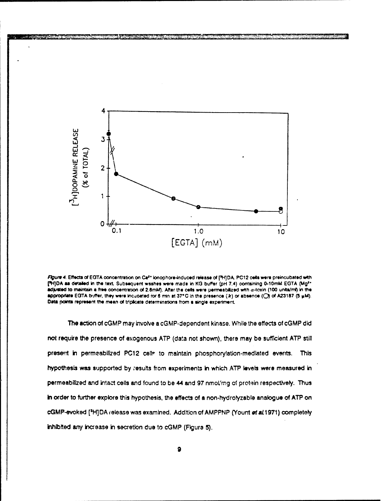

Figure 4. Effects of EGTA concentration on Ca<sup>z+</sup> lonophore-induced release of [<sup>5</sup>H]DA. PC12 cells were preincubated with [<sup>5</sup>H]DA as detailed in the text. Subsequent washes were made in KG buffer (pH 7.4) containing 0-10mM EGTA (Mg<sup>2+</sup> adjusted to maintain a free concentration of 2.8mM). After the cells were permeabilized with a-toxin (100 units/ml) in the appropriate EGTA buffer, they were incubated for 6 min at 37°C in the presence (a) or absence (O) of A23187 (5 µM). Data points represent the mean of triplicate determinations from a single experiment.

The action of cGMP may involve a cGMP-dependent kinase. While the effects of cGMP did not require the presence of exogenous ATP (data not shown), there may be sufficient ATP still present in permeabilized PC12 celle to maintain phosphorylation-mediated events. This hypothesis was supported by results from experiments in which ATP levels were measured in permeabilized and intact cells and found to be 44 and 97 nmol/mg of protein respectively. Thus in order to further explore this hypothesis, the effects of a non-hydrolyzable analogue of ATP on cGMP-evoked [H]DA release was examined. Addition of AMPPNP (Yount of al1971) completely inhibited any increase in secretion due to cGMP (Figure 5).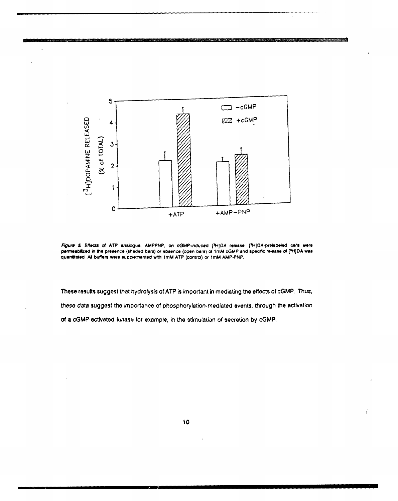

Figure 5. Effects of ATP analogue, AMPPNP, on cGMP-induced [91]DA release. [91]DA-prelabeled cells were permeabilized in the presence (shaded bars) or absence (open bars) of 1mM cGMP and specific release of [FI]DA was quantitated. All buffers were supplemented with 1mM ATP (control) or 1mM AMP-PNP.

These results suggest that hydrolysis of ATP is important in mediating the effects of cGMP. Thus, these data suggest the importance of phosphorylation-mediated events, through the activation of a cGMP-activated kinase for example, in the stimulation of secretion by cGMP.

j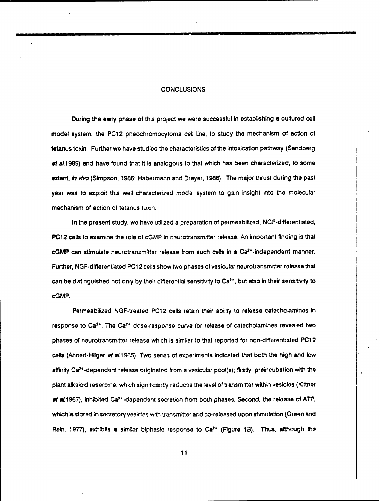### **CONCLUSIONS**

During the early phase of this project we were successful in establishing **a** cultured cell model system, the PC12 pheochromocytoma cell line, to study the mechanism of action of tetanus toxin. Further we have studied the characteristics of the intoxication pathway (Sandberg of al.1989) and have found that it is analogous to that which has been characterized, to some extent, *in vivo* (Simpson, 1986; Habermann and Dreyer, 1986). The major thrust during the past year was to exploit this well characterized model system to gsin insight into the molecular mechanism of action of tetanus tuxin.

In the present study, we have utilized a preparation of permeabilized, NGF-differentiated, PC12 cells to examine the role of cGMP in neurotransmitter release. An important finding is that cGMP can stimulate neurotransm:tter release from such cels in a Ca2'-independent manner. Further, NGF-dlfferentlated PC12 cells show two phases of vesicular neurotransmitter rolease that can be distinguished not only by their differential sensitivity to Ca<sup>2</sup>\*, but also in their sensitivity to cGMP.

Permeabilized NGF-treated PC12 cells retain their ability to release catecholamines in response to Ca<sup>2+</sup>. The Ca<sup>2+</sup> dose-response curve for release of catecholamines revealed two phases of neurotransmitter release which is similar to that reported for non-differentiatod PC12 cells (Ahnert-Hilger *et al.* 1985). Two series of experiments indicated that both the high and low affinity Ca<sup>2+</sup>-dependent release originated from a vesicular pool(s); firstly, preincubation with the plant alkaloid reserpine, which significantly reduces the level of transmitter within vesicles (Kittner ef aL1987), inhibited Ca<sup>2+</sup>-dependent secretion from both phases. Second, the release of ATP, which is stored in secretory vesicles with transmitter and co-released upon stimulation (Green and Rein, 1977), exhibits a similar biphasic response to Ca<sup>2</sup><sup>+</sup> (Figure 13). Thus, although the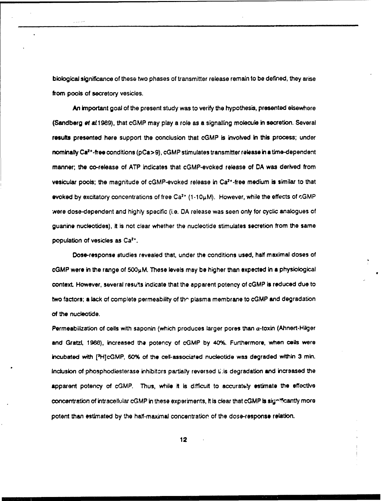biological significance of these two phases of transmitter release remain to be defined, they arise from pools of secretory vesicles.

An important goal of the present study was to verify the hypothesis, presented elsewhere (Sandberg et al.1989), that cGMP may play a role as a signalling molecule in secretion. Several results presented here support the conclusion that cGMP is involved in this process; under nominally Ca<sup>2+</sup>-free conditions (pCa>9), cGMP stimulates transmitter release in a time-dependent manner; the co-release of ATP indicates that cGMP-evoked release of DA was derived from vesicular pools; the magnitude of cGMP-evoked release in Ca<sup>2+</sup>-free medium is similar to that evoked by excitatory concentrations of free Ca<sup>2+</sup> (1-10µM). However, while the effects of cGMP were dose-dependent and highly specific (i.e. DA release was seen only for cyclic analogues of guanine nucleotides), It Is not clear whether the nucleotide stimulates secretion from the same population of vesicles as  $Ca<sup>2+</sup>$ .

Dose-response studies revealed that, under the conditions used, half maximal doses of cGMP were in the range of **5001,M.** These levels may be higher than expected in a physiological context. However, several resufts indicate that the apparent potency of cGMP is reduced due to two factors; a lack of complete permeability of the plasma membrane to cGMP and degradation. of the nucleotlde.

Permeabilization of cells with saponin (which produces larger pores than a-toxin (Ahnert-Hilger and Gratzl, 1968), increased the potency of cGMP by 40%. Furthermore, when cells were incubated with [3H]cGMP, 60% of the ceil-associated nucleotide was degraded within 3 min. Inciusion of phosphodlesterase inhibitcrs partially reversed 1:s degradation and increased the apparent potency of cGMP. Thus, while it is difficult to accurately estimate the effective concentration of intracellular cGMP in these experiments, it is clear that cGMP is significantly more potent than estimated by the half-maximal concentratior of the dose-response relaton.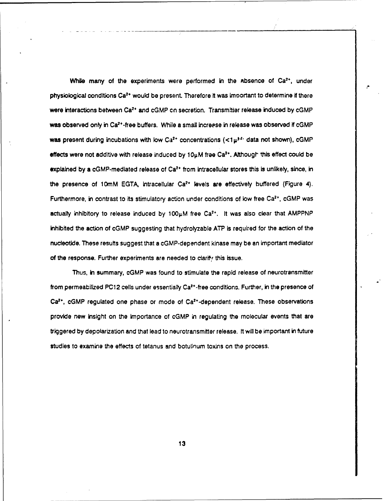While many of the experiments were performed in the absence of Ca<sup>2+</sup>, under physiological conditions Ca<sup>2+</sup> would be present. Therefore it was important to determine if there were interactions between Ca<sup>2+</sup> and cGMP on secretion. Transmitter release induced by cGMP was observed only in Ca<sup>2+</sup>-free buffers. While a small increase in release was observed if cGMP was present during incubations with low Ca<sup>2+</sup> concentrations  $(*t*<sub>W</sub><sup>P<sub>F</sub></sup>$  data not shown), cGMP effects were not additive with release induced by  $10\mu$ M free Ca<sup>2+</sup>. Although this effect could be  $e$ xplained by a cGMP-mediated release of Ca<sup>2+</sup> from intracellular stores this is unlikely, since, in the presence of 10mM EGTA, intracellular Ca<sup>2+</sup> levels are effectively buffered (Figure 4). Furthermore, in contrast to its stimulatory action under conditions of low free Ca<sup>2+</sup>, cGMP was actually inhibitory to release induced by  $100\mu$ M free Ca<sup>2+</sup>. It was also clear that AMPPNP inhibited the action of cGMP suggesting that hydrolyzable ATP is required for the action of the nucleotide. These results suggest that a cGMP-dependent kinase may be an important mediator of the response. Further experiments are needed to clarify this issue.

Thus, in summary, cGMP was found to stimulate the rapid release of neurotransmitter from permeabilized PC12 cells under essentially Ca<sup>2+</sup>-free conditions. Further, in the presence of  $Ca<sup>2+</sup>$ , cGMP regulated one phase or mode of  $Ca<sup>2+</sup>$ -dependent release. These observations provide new Insight on the importance of cGMP in regulating the molecular events that are triggered by depolarization and that lead to neurotransmitter release. It will be important in future studies to examine the effects of tetanus and botullnum toxins on the process.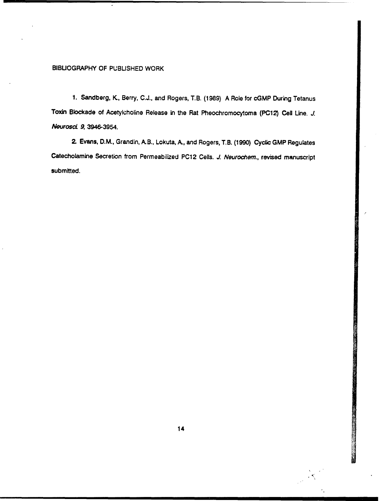## BIBUOGRAPHY OF PUBLISHED WORK

1. Sandberg, K, Berry, C.J., and Rogers, T.B. (1989) A Role for cGMP During Tetanus Toxin Blockade of Acetylcholine Release in the Rat Pheochromocytoma (PC12) Cell Line. *J. Neurosc.* 9, 3946-3954.

2. Evans, D.M., Grandin, A.B., Lokuta, **A.,** and Rogers, T.B. (1990) Cyclic GMP Regulates Catecholamine Secretion from Permeabilized PC12 Cells. *J. Neurochem.,* revised manuscript submitted.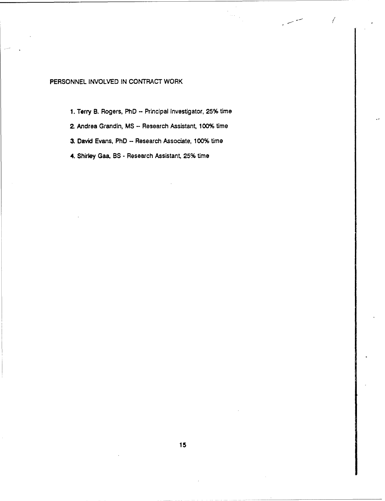## PERSONNEL INVOLVED IN CONTRACT WORK

**1.** Terry B. Rogers, PhD - Principal Investigator, 25% time

- In the second control of the second control of the second control of the second control of the second control of the second control of the second control of the second control of the second control of the second control

- **2.** Andrea Grandin, MS Research Assistant, 100% time
- 3. David Evans, PhD Research Associate, 100% time
- 4. Shirley Gaa, BS Research Assistant, 25% time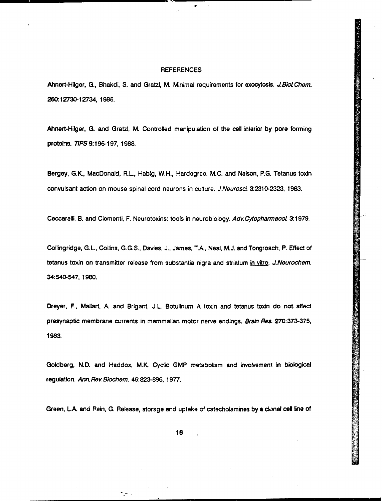#### **REFERENCES**

÷

---

Ahnert-Hilger, G., Bhakdi, S. and Gratzl, M. Minimal requirements for exocytosis. *J.Biol Chem.* 26012730-12734, 1985.

Ahnert-Hilger, **G.** and Gratzl, M. Controlled manipulation of the cell interior by pore forming proteins. 77PS 9:195-197, 1988.

Bergey, G.K, MacDonald, RL, Habig, W.H., Hardegree, M.C. and Nelson, P.G. Tetanus toxin convulsant action on mouse spinal cord neurons in culture. *J.Neurosci* 3:2310-2323, 1983.

Ceccarelli, B. and Clementi, F. Neurotoxins: tools In neurobiology. *Adv.CytopharmacoL* 3:1979.

Collingridge, G.L, Collins, G.G.S., Davies, J., James, TA., Neal, M.J. and Tongroach, P. Effect of tetanus toxin on transmitter release from substantia nigra and striatum in vitro. *J.Neurochem.* 34:540-547, 1980.

Dreyer, F., Mailart, A. and Brigant, J.L. Botulinum A toxin and tetanus toxin do not affect presynaptic membrane currents in mammalian motor nerve endings. Brain Res. 270:373-375, 1983.

Goldberg, N.D. and Haddox, **M.K** Cyclic GMP metabolism and Involvement in biological regulaJon. *Ann.Rev.Biochem.* 46:823-896, 1977.

Green, L.A. and Rein, G. Release, storage and uptake of catecholamines by a clonal cell line of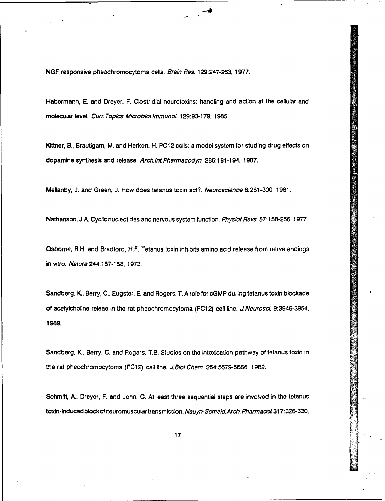NGF responsive pheochromocytoma cells. *Brain Res.* 129:247-263, 1977.

Habermarn, **E** and Dreyer, F. Clostridial neurotoxins: handling and action at the cellular and molecular level. *Curr. Topics MicrobiolimmunoL* 129:93-179, 198W.

Klttner, B., Brautigam, M. and Herken, H. PC12 cells: a model system for studing drug effects on dopamine synthesis and release. *Arch.IntPharmacodyn.* 286:181-194, 1987.

Mellanby, J. and Green, J. How does tetanus toxin act?. *Neuroscience* 6:281-300, 1981.

Nathanson, J.A. Cyclic nucleotides and nervous system function. *Physiol.Revs.* 57:158-256, 1977.

Osborne, R1H. and Bradford, H.F. Tetanus toxin inhibits amino acid release from nerve endings in vitro. *Nature* 244:157-158, 1973.

Sandberg, K, Berry, C., Eugster, E. and Rogers, T. A role for cGMP du, ing tetanus toxin blockade of acetylcholine releae in the rat pheochromocytoma (PC12) cell line. *J.Neurosci* 9:3946-3954, 1989.

Sandberg, K., Berry, C. and Rogers, T.B. Studies on the intoxication pathway of tetanus toxin in the rat pheochromocytoma (PC12) cell line. *J.BioI.Chem.* 264:5679-5686, 1989.

Schmitt, A., Dreyer, F. and John, C. At least three sequential steps are involved in the tetanus toxin-induced block of neuromuscular transmission. Nauyn-Scmeid. Arch. Pharmacol. 317:326-330,